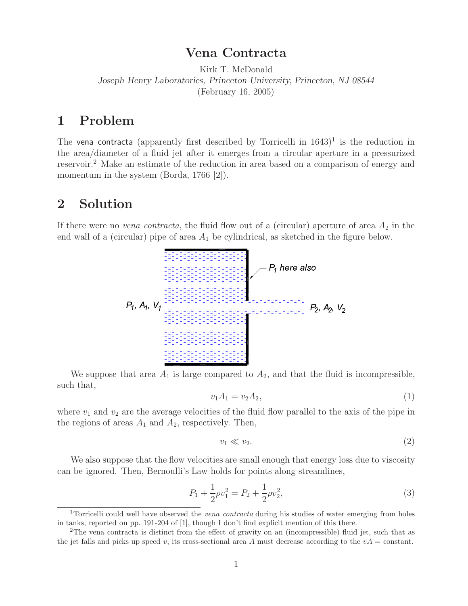## **Vena Contracta**

Kirk T. McDonald *Joseph Henry Laboratories, Princeton University, Princeton, NJ 08544* (February 16, 2005)

## **1 Problem**

The vena contracta (apparently first described by Torricelli in  $1643$ )<sup>1</sup> is the reduction in the area/diameter of a fluid jet after it emerges from a circular aperture in a pressurized reservoir.<sup>2</sup> Make an estimate of the reduction in area based on a comparison of energy and momentum in the system (Borda, 1766 [2]).

### **2 Solution**

If there were no *vena contracta*, the fluid flow out of a (circular) aperture of area  $A_2$  in the end wall of a (circular) pipe of area  $A_1$  be cylindrical, as sketched in the figure below.



We suppose that area  $A_1$  is large compared to  $A_2$ , and that the fluid is incompressible, such that,

$$
v_1 A_1 = v_2 A_2,\tag{1}
$$

where  $v_1$  and  $v_2$  are the average velocities of the fluid flow parallel to the axis of the pipe in the regions of areas  $A_1$  and  $A_2$ , respectively. Then,

$$
v_1 \ll v_2. \tag{2}
$$

We also suppose that the flow velocities are small enough that energy loss due to viscosity can be ignored. Then, Bernoulli's Law holds for points along streamlines,

$$
P_1 + \frac{1}{2}\rho v_1^2 = P_2 + \frac{1}{2}\rho v_2^2,
$$
\n(3)

<sup>1</sup>Torricelli could well have observed the *vena contracta* during his studies of water emerging from holes in tanks, reported on pp. 191-204 of [1], though I don't find explicit mention of this there.

<sup>2</sup>The vena contracta is distinct from the effect of gravity on an (incompressible) fluid jet, such that as the jet falls and picks up speed v, its cross-sectional area A must decrease according to the  $vA = \text{constant}$ .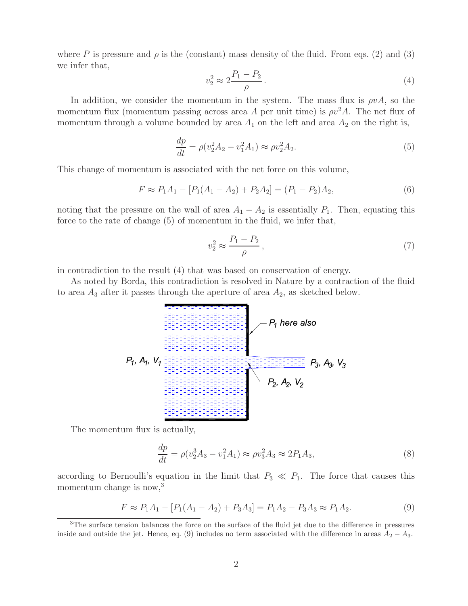where P is pressure and  $\rho$  is the (constant) mass density of the fluid. From eqs. (2) and (3) we infer that,

$$
v_2^2 \approx 2\frac{P_1 - P_2}{\rho} \,. \tag{4}
$$

In addition, we consider the momentum in the system. The mass flux is  $\rho v A$ , so the momentum flux (momentum passing across area A per unit time) is  $\rho v^2 A$ . The net flux of momentum through a volume bounded by area  $A_1$  on the left and area  $A_2$  on the right is,

$$
\frac{dp}{dt} = \rho(v_2^2 A_2 - v_1^2 A_1) \approx \rho v_2^2 A_2.
$$
\n(5)

This change of momentum is associated with the net force on this volume,

$$
F \approx P_1 A_1 - [P_1(A_1 - A_2) + P_2 A_2] = (P_1 - P_2) A_2,
$$
\n(6)

noting that the pressure on the wall of area  $A_1 - A_2$  is essentially  $P_1$ . Then, equating this force to the rate of change (5) of momentum in the fluid, we infer that,

$$
v_2^2 \approx \frac{P_1 - P_2}{\rho},\tag{7}
$$

in contradiction to the result (4) that was based on conservation of energy.

As noted by Borda, this contradiction is resolved in Nature by a contraction of the fluid to area  $A_3$  after it passes through the aperture of area  $A_2$ , as sketched below.



The momentum flux is actually,

$$
\frac{dp}{dt} = \rho(v_2^3 A_3 - v_1^2 A_1) \approx \rho v_3^2 A_3 \approx 2P_1 A_3,\tag{8}
$$

according to Bernoulli's equation in the limit that  $P_3 \ll P_1$ . The force that causes this momentum change is now,<sup>3</sup>

$$
F \approx P_1 A_1 - [P_1(A_1 - A_2) + P_3 A_3] = P_1 A_2 - P_3 A_3 \approx P_1 A_2.
$$
\n(9)

<sup>&</sup>lt;sup>3</sup>The surface tension balances the force on the surface of the fluid jet due to the difference in pressures inside and outside the jet. Hence, eq. (9) includes no term associated with the difference in areas  $A_2 - A_3$ .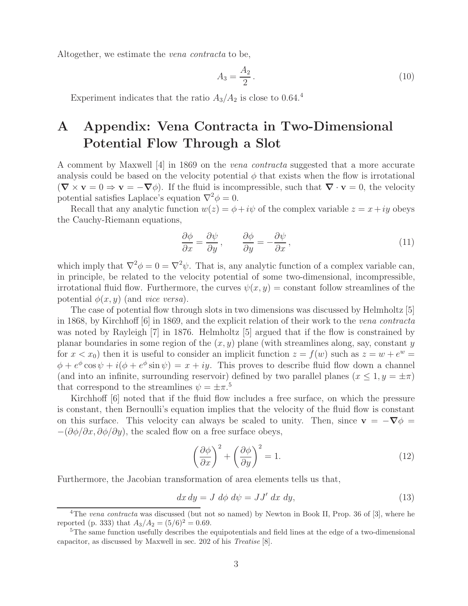Altogether, we estimate the *vena contracta* to be,

$$
A_3 = \frac{A_2}{2} \,. \tag{10}
$$

Experiment indicates that the ratio  $A_3/A_2$  is close to 0.64.<sup>4</sup>

# **A Appendix: Vena Contracta in Two-Dimensional Potential Flow Through a Slot**

A comment by Maxwell [4] in 1869 on the *vena contracta* suggested that a more accurate analysis could be based on the velocity potential  $\phi$  that exists when the flow is irrotational  $(\nabla \times \mathbf{v} = 0 \Rightarrow \mathbf{v} = -\nabla \phi)$ . If the fluid is incompressible, such that  $\nabla \cdot \mathbf{v} = 0$ , the velocity potential satisfies Laplace's equation  $\nabla^2 \phi = 0$ .

Recall that any analytic function  $w(z) = \phi + i\psi$  of the complex variable  $z = x + iy$  obeys the Cauchy-Riemann equations,

$$
\frac{\partial \phi}{\partial x} = \frac{\partial \psi}{\partial y}, \qquad \frac{\partial \phi}{\partial y} = -\frac{\partial \psi}{\partial x}, \qquad (11)
$$

which imply that  $\nabla^2 \phi = 0 = \nabla^2 \psi$ . That is, any analytic function of a complex variable can, in principle, be related to the velocity potential of some two-dimensional, incompressible, irrotational fluid flow. Furthermore, the curves  $\psi(x, y) =$  constant follow streamlines of the potential  $\phi(x, y)$  (and *vice versa*).

The case of potential flow through slots in two dimensions was discussed by Helmholtz [5] in 1868, by Kirchhoff [6] in 1869, and the explicit relation of their work to the *vena contracta* was noted by Rayleigh [7] in 1876. Helmholtz [5] argued that if the flow is constrained by planar boundaries in some region of the  $(x, y)$  plane (with streamlines along, say, constant y for  $x < x_0$ ) then it is useful to consider an implicit function  $z = f(w)$  such as  $z = w + e^w =$  $\phi + e^{\phi} \cos \psi + i(\phi + e^{\phi} \sin \psi) = x + iy$ . This proves to describe fluid flow down a channel (and into an infinite, surrounding reservoir) defined by two parallel planes  $(x \leq 1, y = \pm \pi)$ that correspond to the streamlines  $\psi = \pm \pi$ .<sup>5</sup>

Kirchhoff [6] noted that if the fluid flow includes a free surface, on which the pressure is constant, then Bernoulli's equation implies that the velocity of the fluid flow is constant on this surface. This velocity can always be scaled to unity. Then, since  $\mathbf{v} = -\nabla \phi =$  $-(\partial \phi/\partial x, \partial \phi/\partial y)$ , the scaled flow on a free surface obeys,

$$
\left(\frac{\partial\phi}{\partial x}\right)^2 + \left(\frac{\partial\phi}{\partial y}\right)^2 = 1.
$$
\n(12)

Furthermore, the Jacobian transformation of area elements tells us that,

$$
dx dy = J d\phi d\psi = JJ' dx dy,
$$
\n(13)

<sup>4</sup>The *vena contracta* was discussed (but not so named) by Newton in Book II, Prop. 36 of [3], where he reported (p. 333) that  $A_3/A_2 = (5/6)^2 = 0.69$ .

<sup>&</sup>lt;sup>5</sup>The same function usefully describes the equipotentials and field lines at the edge of a two-dimensional capacitor, as discussed by Maxwell in sec. 202 of his *Treatise* [8].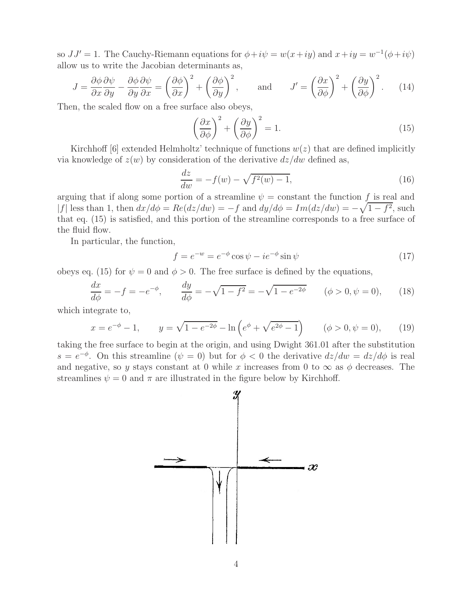so  $JJ' = 1$ . The Cauchy-Riemann equations for  $\phi + i\psi = w(x+iy)$  and  $x+iy = w^{-1}(\phi + i\psi)$ allow us to write the Jacobian determinants as,

$$
J = \frac{\partial \phi}{\partial x} \frac{\partial \psi}{\partial y} - \frac{\partial \phi}{\partial y} \frac{\partial \psi}{\partial x} = \left(\frac{\partial \phi}{\partial x}\right)^2 + \left(\frac{\partial \phi}{\partial y}\right)^2, \quad \text{and} \quad J' = \left(\frac{\partial x}{\partial \phi}\right)^2 + \left(\frac{\partial y}{\partial \phi}\right)^2. \tag{14}
$$

Then, the scaled flow on a free surface also obeys,

$$
\left(\frac{\partial x}{\partial \phi}\right)^2 + \left(\frac{\partial y}{\partial \phi}\right)^2 = 1.
$$
\n(15)

Kirchhoff [6] extended Helmholtz' technique of functions  $w(z)$  that are defined implicitly via knowledge of  $z(w)$  by consideration of the derivative  $dz/dw$  defined as,

$$
\frac{dz}{dw} = -f(w) - \sqrt{f^2(w) - 1},\tag{16}
$$

arguing that if along some portion of a streamline  $\psi = constant$  the function f is real and |f| less than 1, then  $dx/d\phi = Re(dz/dw) = -f$  and  $dy/d\phi = Im(dz/dw) = -\sqrt{1-f^2}$ , such that eq. (15) is satisfied, and this portion of the streamline corresponds to a free surface of the fluid flow.

In particular, the function,

$$
f = e^{-w} = e^{-\phi}\cos\psi - ie^{-\phi}\sin\psi
$$
 (17)

obeys eq. (15) for  $\psi = 0$  and  $\phi > 0$ . The free surface is defined by the equations,

$$
\frac{dx}{d\phi} = -f = -e^{-\phi}, \qquad \frac{dy}{d\phi} = -\sqrt{1 - f^2} = -\sqrt{1 - e^{-2\phi}} \qquad (\phi > 0, \psi = 0), \qquad (18)
$$

which integrate to,

$$
x = e^{-\phi} - 1, \qquad y = \sqrt{1 - e^{-2\phi}} - \ln\left(e^{\phi} + \sqrt{e^{2\phi} - 1}\right) \qquad (\phi > 0, \psi = 0), \tag{19}
$$

taking the free surface to begin at the origin, and using Dwight 361.01 after the substitution  $s = e^{-\phi}$ . On this streamline  $(\psi = 0)$  but for  $\phi < 0$  the derivative  $dz/dw = dz/d\phi$  is real and negative, so y stays constant at 0 while x increases from 0 to  $\infty$  as  $\phi$  decreases. The streamlines  $\psi = 0$  and  $\pi$  are illustrated in the figure below by Kirchhoff.

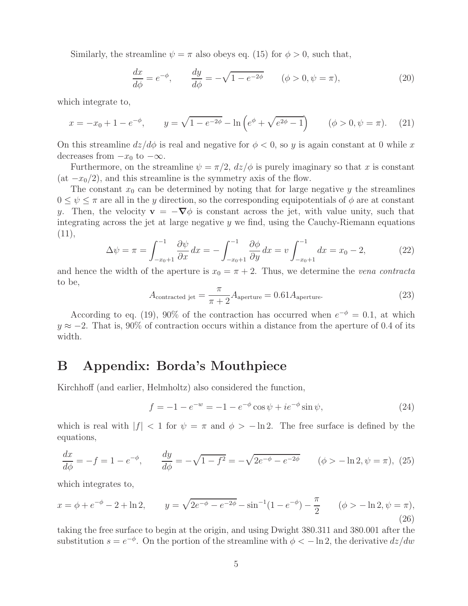Similarly, the streamline  $\psi = \pi$  also obeys eq. (15) for  $\phi > 0$ , such that,

$$
\frac{dx}{d\phi} = e^{-\phi}, \qquad \frac{dy}{d\phi} = -\sqrt{1 - e^{-2\phi}} \qquad (\phi > 0, \psi = \pi), \tag{20}
$$

which integrate to,

$$
x = -x_0 + 1 - e^{-\phi}, \qquad y = \sqrt{1 - e^{-2\phi}} - \ln\left(e^{\phi} + \sqrt{e^{2\phi} - 1}\right) \qquad (\phi > 0, \psi = \pi). \tag{21}
$$

On this streamline  $dz/d\phi$  is real and negative for  $\phi < 0$ , so y is again constant at 0 while x decreases from  $-x_0$  to  $-\infty$ .

Furthermore, on the streamline  $\psi = \pi/2$ ,  $dz/\phi$  is purely imaginary so that x is constant  $(at -x<sub>0</sub>/2)$ , and this streamline is the symmetry axis of the flow.

The constant  $x_0$  can be determined by noting that for large negative y the streamlines  $0 \leq \psi \leq \pi$  are all in the y direction, so the corresponding equipotentials of  $\phi$  are at constant y. Then, the velocity  $\mathbf{v} = -\nabla \phi$  is constant across the jet, with value unity, such that integrating across the jet at large negative  $y$  we find, using the Cauchy-Riemann equations  $(11),$ 

$$
\Delta \psi = \pi = \int_{-x_0+1}^{-1} \frac{\partial \psi}{\partial x} dx = -\int_{-x_0+1}^{-1} \frac{\partial \phi}{\partial y} dx = v \int_{-x_0+1}^{-1} dx = x_0 - 2,
$$
 (22)

and hence the width of the aperture is  $x_0 = \pi + 2$ . Thus, we determine the *vena contracta* to be,

$$
A_{\text{contracted jet}} = \frac{\pi}{\pi + 2} A_{\text{aperture}} = 0.61 A_{\text{aperture}}.
$$
 (23)

According to eq. (19), 90% of the contraction has occurred when  $e^{-\phi} = 0.1$ , at which  $y \approx -2$ . That is, 90% of contraction occurs within a distance from the aperture of 0.4 of its width.

### **B Appendix: Borda's Mouthpiece**

Kirchhoff (and earlier, Helmholtz) also considered the function,

$$
f = -1 - e^{-w} = -1 - e^{-\phi} \cos \psi + ie^{-\phi} \sin \psi,
$$
 (24)

which is real with  $|f| < 1$  for  $\psi = \pi$  and  $\phi > -\ln 2$ . The free surface is defined by the equations,

$$
\frac{dx}{d\phi} = -f = 1 - e^{-\phi}, \qquad \frac{dy}{d\phi} = -\sqrt{1 - f^2} = -\sqrt{2e^{-\phi} - e^{-2\phi}} \qquad (\phi > -\ln 2, \psi = \pi), \tag{25}
$$

which integrates to,

$$
x = \phi + e^{-\phi} - 2 + \ln 2, \qquad y = \sqrt{2e^{-\phi} - e^{-2\phi}} - \sin^{-1}(1 - e^{-\phi}) - \frac{\pi}{2} \qquad (\phi > -\ln 2, \psi = \pi), \tag{26}
$$

taking the free surface to begin at the origin, and using Dwight 380.311 and 380.001 after the substitution  $s = e^{-\phi}$ . On the portion of the streamline with  $\phi < -\ln 2$ , the derivative  $dz/dw$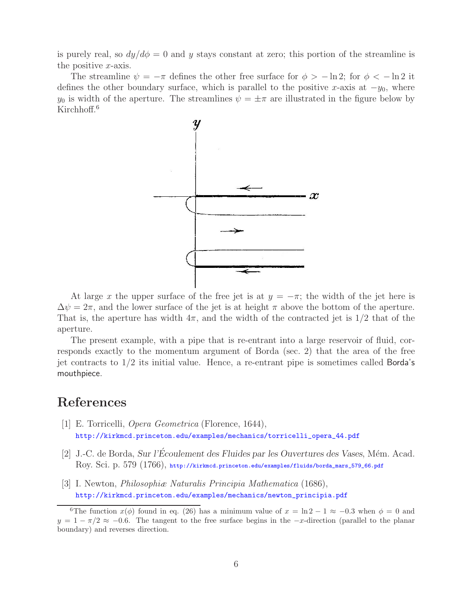is purely real, so  $dy/d\phi = 0$  and y stays constant at zero; this portion of the streamline is the positive  $x$ -axis.

The streamline  $\psi = -\pi$  defines the other free surface for  $\phi > -\ln 2$ ; for  $\phi < -\ln 2$  it defines the other boundary surface, which is parallel to the positive x-axis at  $-y_0$ , where  $y_0$  is width of the aperture. The streamlines  $\psi = \pm \pi$  are illustrated in the figure below by Kirchhoff.<sup>6</sup>



At large x the upper surface of the free jet is at  $y = -\pi$ ; the width of the jet here is  $\Delta \psi = 2\pi$ , and the lower surface of the jet is at height  $\pi$  above the bottom of the aperture. That is, the aperture has width  $4\pi$ , and the width of the contracted jet is  $1/2$  that of the aperture.

The present example, with a pipe that is re-entrant into a large reservoir of fluid, corresponds exactly to the momentum argument of Borda (sec. 2) that the area of the free jet contracts to 1/2 its initial value. Hence, a re-entrant pipe is sometimes called Borda's mouthpiece.

#### **References**

- [1] E. Torricelli, *Opera Geometrica* (Florence, 1644), http://kirkmcd.princeton.edu/examples/mechanics/torricelli\_opera\_44.pdf
- [2] J.-C. de Borda, *Sur l'Écoulement des Fluides par les Ouvertures des Vases*, Mém. Acad. Roy. Sci. p. 579 (1766), http://kirkmcd.princeton.edu/examples/fluids/borda\_mars\_579\_66.pdf
- [3] I. Newton, *Philosophiæ Naturalis Principia Mathematica* (1686), http://kirkmcd.princeton.edu/examples/mechanics/newton\_principia.pdf

<sup>&</sup>lt;sup>6</sup>The function  $x(\phi)$  found in eq. (26) has a minimum value of  $x = \ln 2 - 1 \approx -0.3$  when  $\phi = 0$  and  $y = 1 - \pi/2 \approx -0.6$ . The tangent to the free surface begins in the  $-x$ -direction (parallel to the planar boundary) and reverses direction.